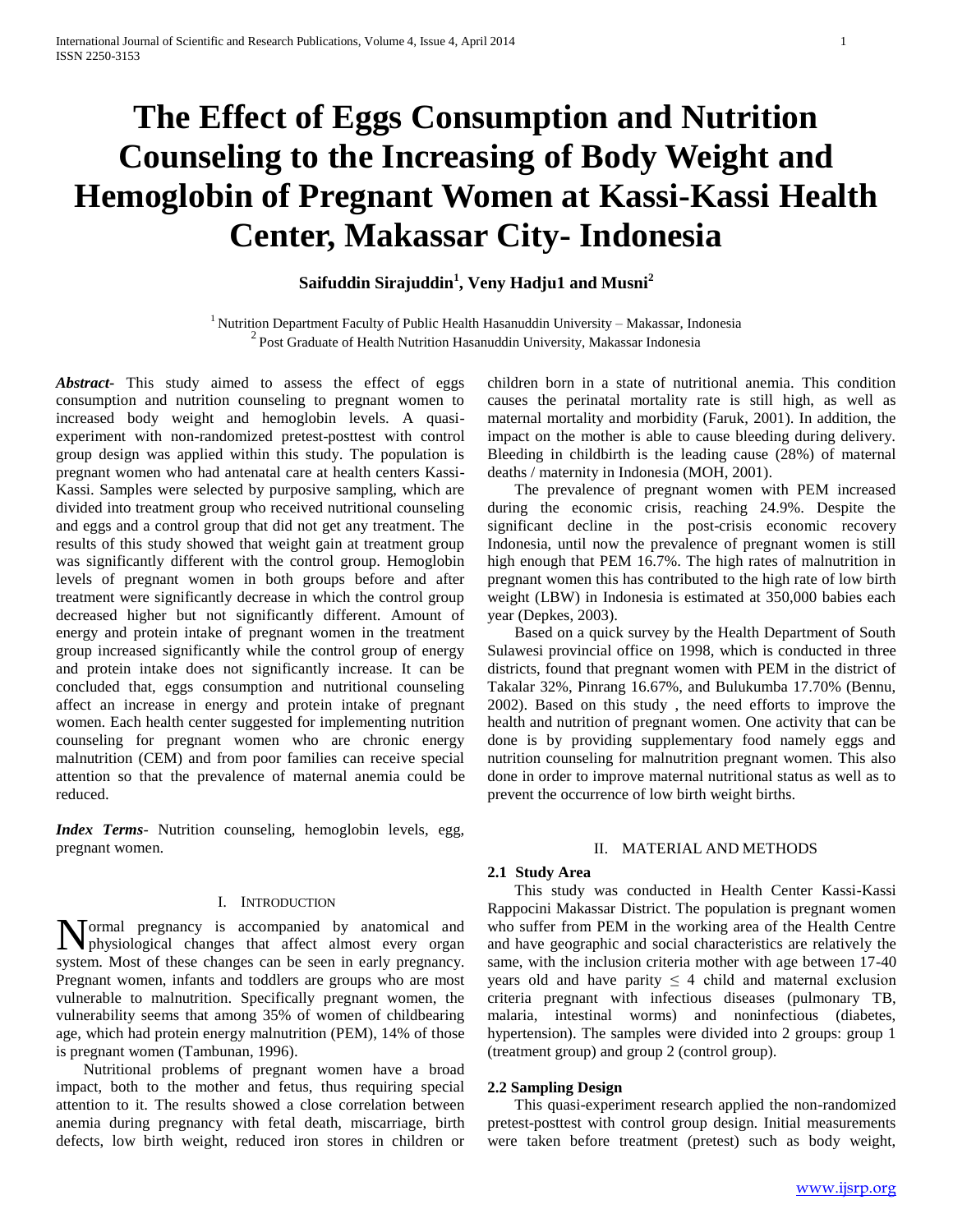# **The Effect of Eggs Consumption and Nutrition Counseling to the Increasing of Body Weight and Hemoglobin of Pregnant Women at Kassi-Kassi Health Center, Makassar City- Indonesia**

# **Saifuddin Sirajuddin<sup>1</sup> , Veny Hadju1 and Musni<sup>2</sup>**

<sup>1</sup> Nutrition Department Faculty of Public Health Hasanuddin University - Makassar, Indonesia <sup>2</sup> Post Graduate of Health Nutrition Hasanuddin University, Makassar Indonesia

*Abstract***-** This study aimed to assess the effect of eggs consumption and nutrition counseling to pregnant women to increased body weight and hemoglobin levels. A quasiexperiment with non-randomized pretest-posttest with control group design was applied within this study. The population is pregnant women who had antenatal care at health centers Kassi-Kassi. Samples were selected by purposive sampling, which are divided into treatment group who received nutritional counseling and eggs and a control group that did not get any treatment. The results of this study showed that weight gain at treatment group was significantly different with the control group. Hemoglobin levels of pregnant women in both groups before and after treatment were significantly decrease in which the control group decreased higher but not significantly different. Amount of energy and protein intake of pregnant women in the treatment group increased significantly while the control group of energy and protein intake does not significantly increase. It can be concluded that, eggs consumption and nutritional counseling affect an increase in energy and protein intake of pregnant women. Each health center suggested for implementing nutrition counseling for pregnant women who are chronic energy malnutrition (CEM) and from poor families can receive special attention so that the prevalence of maternal anemia could be reduced.

*Index Terms*- Nutrition counseling, hemoglobin levels, egg, pregnant women.

# I. INTRODUCTION

ormal pregnancy is accompanied by anatomical and Normal pregnancy is accompanied by anatomical and physiological changes that affect almost every organ system. Most of these changes can be seen in early pregnancy. Pregnant women, infants and toddlers are groups who are most vulnerable to malnutrition. Specifically pregnant women, the vulnerability seems that among 35% of women of childbearing age, which had protein energy malnutrition (PEM), 14% of those is pregnant women (Tambunan, 1996).

 Nutritional problems of pregnant women have a broad impact, both to the mother and fetus, thus requiring special attention to it. The results showed a close correlation between anemia during pregnancy with fetal death, miscarriage, birth defects, low birth weight, reduced iron stores in children or children born in a state of nutritional anemia. This condition causes the perinatal mortality rate is still high, as well as maternal mortality and morbidity (Faruk, 2001). In addition, the impact on the mother is able to cause bleeding during delivery. Bleeding in childbirth is the leading cause (28%) of maternal deaths / maternity in Indonesia (MOH, 2001).

 The prevalence of pregnant women with PEM increased during the economic crisis, reaching 24.9%. Despite the significant decline in the post-crisis economic recovery Indonesia, until now the prevalence of pregnant women is still high enough that PEM 16.7%. The high rates of malnutrition in pregnant women this has contributed to the high rate of low birth weight (LBW) in Indonesia is estimated at 350,000 babies each year (Depkes, 2003).

 Based on a quick survey by the Health Department of South Sulawesi provincial office on 1998, which is conducted in three districts, found that pregnant women with PEM in the district of Takalar 32%, Pinrang 16.67%, and Bulukumba 17.70% (Bennu, 2002). Based on this study , the need efforts to improve the health and nutrition of pregnant women. One activity that can be done is by providing supplementary food namely eggs and nutrition counseling for malnutrition pregnant women. This also done in order to improve maternal nutritional status as well as to prevent the occurrence of low birth weight births.

## II. MATERIAL AND METHODS

# **2.1 Study Area**

 This study was conducted in Health Center Kassi-Kassi Rappocini Makassar District. The population is pregnant women who suffer from PEM in the working area of the Health Centre and have geographic and social characteristics are relatively the same, with the inclusion criteria mother with age between 17-40 years old and have parity  $\leq 4$  child and maternal exclusion criteria pregnant with infectious diseases (pulmonary TB, malaria, intestinal worms) and noninfectious (diabetes, hypertension). The samples were divided into 2 groups: group 1 (treatment group) and group 2 (control group).

# **2.2 Sampling Design**

 This quasi-experiment research applied the non-randomized pretest-posttest with control group design. Initial measurements were taken before treatment (pretest) such as body weight,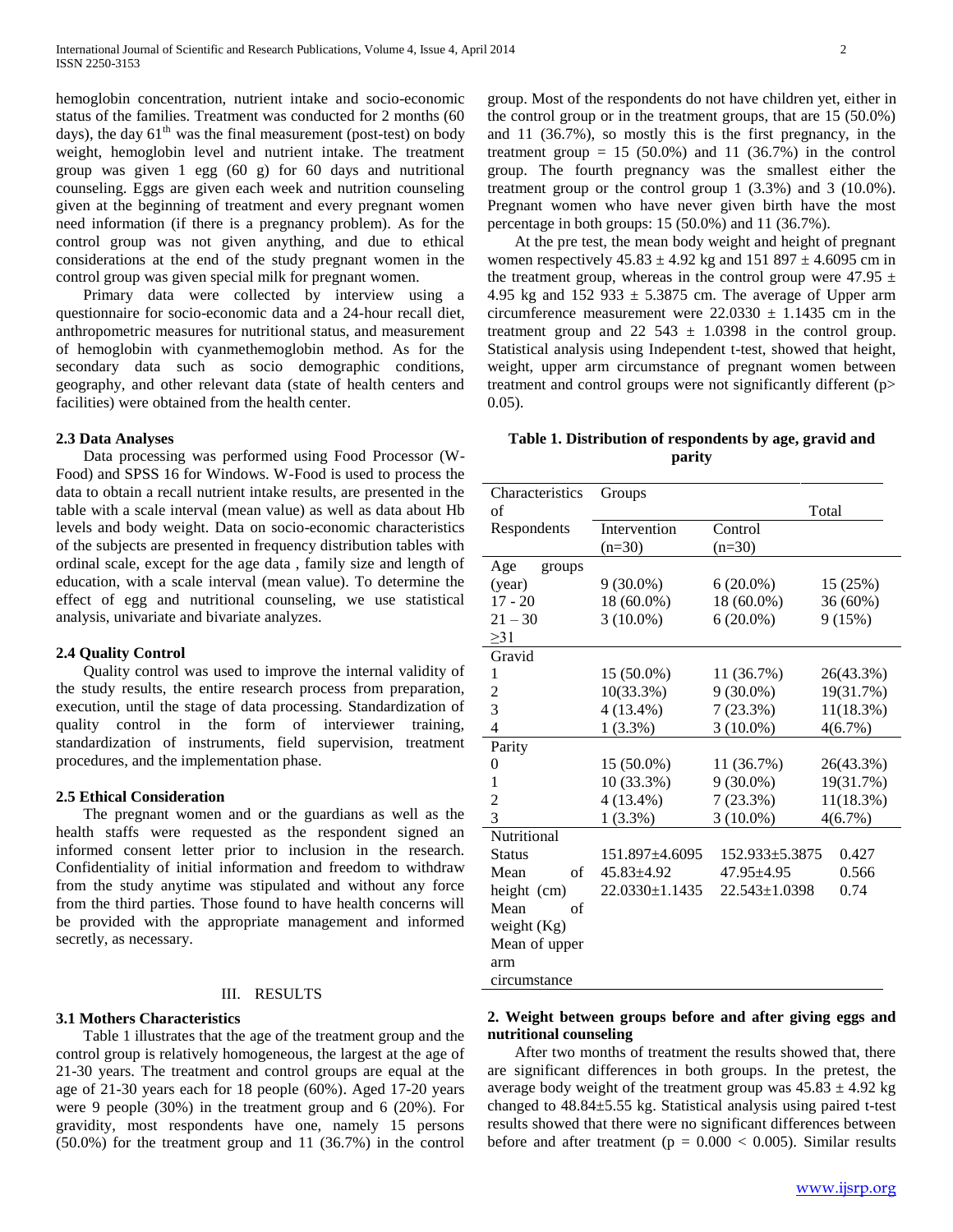hemoglobin concentration, nutrient intake and socio-economic status of the families. Treatment was conducted for 2 months (60 days), the day  $61<sup>th</sup>$  was the final measurement (post-test) on body weight, hemoglobin level and nutrient intake. The treatment group was given 1 egg (60 g) for 60 days and nutritional counseling. Eggs are given each week and nutrition counseling given at the beginning of treatment and every pregnant women need information (if there is a pregnancy problem). As for the control group was not given anything, and due to ethical considerations at the end of the study pregnant women in the control group was given special milk for pregnant women.

 Primary data were collected by interview using a questionnaire for socio-economic data and a 24-hour recall diet, anthropometric measures for nutritional status, and measurement of hemoglobin with cyanmethemoglobin method. As for the secondary data such as socio demographic conditions, geography, and other relevant data (state of health centers and facilities) were obtained from the health center.

# **2.3 Data Analyses**

 Data processing was performed using Food Processor (W-Food) and SPSS 16 for Windows. W-Food is used to process the data to obtain a recall nutrient intake results, are presented in the table with a scale interval (mean value) as well as data about Hb levels and body weight. Data on socio-economic characteristics of the subjects are presented in frequency distribution tables with ordinal scale, except for the age data , family size and length of education, with a scale interval (mean value). To determine the effect of egg and nutritional counseling, we use statistical analysis, univariate and bivariate analyzes.

# **2.4 Quality Control**

 Quality control was used to improve the internal validity of the study results, the entire research process from preparation, execution, until the stage of data processing. Standardization of quality control in the form of interviewer training, standardization of instruments, field supervision, treatment procedures, and the implementation phase.

# **2.5 Ethical Consideration**

 The pregnant women and or the guardians as well as the health staffs were requested as the respondent signed an informed consent letter prior to inclusion in the research. Confidentiality of initial information and freedom to withdraw from the study anytime was stipulated and without any force from the third parties. Those found to have health concerns will be provided with the appropriate management and informed secretly, as necessary.

# III. RESULTS

# **3.1 Mothers Characteristics**

 Table 1 illustrates that the age of the treatment group and the control group is relatively homogeneous, the largest at the age of 21-30 years. The treatment and control groups are equal at the age of 21-30 years each for 18 people (60%). Aged 17-20 years were 9 people (30%) in the treatment group and 6 (20%). For gravidity, most respondents have one, namely 15 persons (50.0%) for the treatment group and 11 (36.7%) in the control

group. Most of the respondents do not have children yet, either in the control group or in the treatment groups, that are 15 (50.0%) and 11 (36.7%), so mostly this is the first pregnancy, in the treatment group =  $15$  (50.0%) and 11 (36.7%) in the control group. The fourth pregnancy was the smallest either the treatment group or the control group 1 (3.3%) and 3 (10.0%). Pregnant women who have never given birth have the most percentage in both groups: 15 (50.0%) and 11 (36.7%).

 At the pre test, the mean body weight and height of pregnant women respectively  $45.83 \pm 4.92$  kg and  $151\,897 \pm 4.6095$  cm in the treatment group, whereas in the control group were  $47.95 \pm$ 4.95 kg and 152 933  $\pm$  5.3875 cm. The average of Upper arm circumference measurement were  $22.0330 \pm 1.1435$  cm in the treatment group and 22 543  $\pm$  1.0398 in the control group. Statistical analysis using Independent t-test, showed that height, weight, upper arm circumstance of pregnant women between treatment and control groups were not significantly different (p> 0.05).

**Table 1. Distribution of respondents by age, gravid and parity**

| Characteristics | Groups               |                      |           |
|-----------------|----------------------|----------------------|-----------|
| of              |                      |                      | Total     |
| Respondents     | Intervention         | Control              |           |
|                 | $(n=30)$             | $(n=30)$             |           |
| Age<br>groups   |                      |                      |           |
| (year)          | $9(30.0\%)$          | $6(20.0\%)$          | 15 (25%)  |
| $17 - 20$       | 18 (60.0%)           | 18 (60.0%)           | 36 (60%)  |
| $21 - 30$       | $3(10.0\%)$          | $6(20.0\%)$          | 9(15%)    |
| >31             |                      |                      |           |
| Gravid          |                      |                      |           |
| 1               | 15 (50.0%)           | 11 (36.7%)           | 26(43.3%) |
| 2               | $10(33.3\%)$         | $9(30.0\%)$          | 19(31.7%) |
| 3               | $4(13.4\%)$          | 7(23.3%)             | 11(18.3%) |
| $\overline{4}$  | $1(3.3\%)$           | $3(10.0\%)$          | 4(6.7%)   |
| Parity          |                      |                      |           |
| $\overline{0}$  | 15 (50.0%)           | 11 (36.7%)           | 26(43.3%) |
| 1               | 10 (33.3%)           | $9(30.0\%)$          | 19(31.7%) |
| $\overline{2}$  | $4(13.4\%)$          | 7(23.3%)             | 11(18.3%) |
| 3               | $1(3.3\%)$           | $3(10.0\%)$          | 4(6.7%)   |
| Nutritional     |                      |                      |           |
| <b>Status</b>   | 151.897±4.6095       | $152.933 \pm 5.3875$ | 0.427     |
| Mean<br>of      | $45.83 \pm 4.92$     | $47.95 \pm 4.95$     | 0.566     |
| height (cm)     | $22.0330 \pm 1.1435$ | $22.543 \pm 1.0398$  | 0.74      |
| Mean<br>of      |                      |                      |           |
| weight (Kg)     |                      |                      |           |
| Mean of upper   |                      |                      |           |
| arm             |                      |                      |           |
| circumstance    |                      |                      |           |

# **2. Weight between groups before and after giving eggs and nutritional counseling**

 After two months of treatment the results showed that, there are significant differences in both groups. In the pretest, the average body weight of the treatment group was  $45.83 \pm 4.92$  kg changed to 48.84±5.55 kg. Statistical analysis using paired t-test results showed that there were no significant differences between before and after treatment ( $p = 0.000 < 0.005$ ). Similar results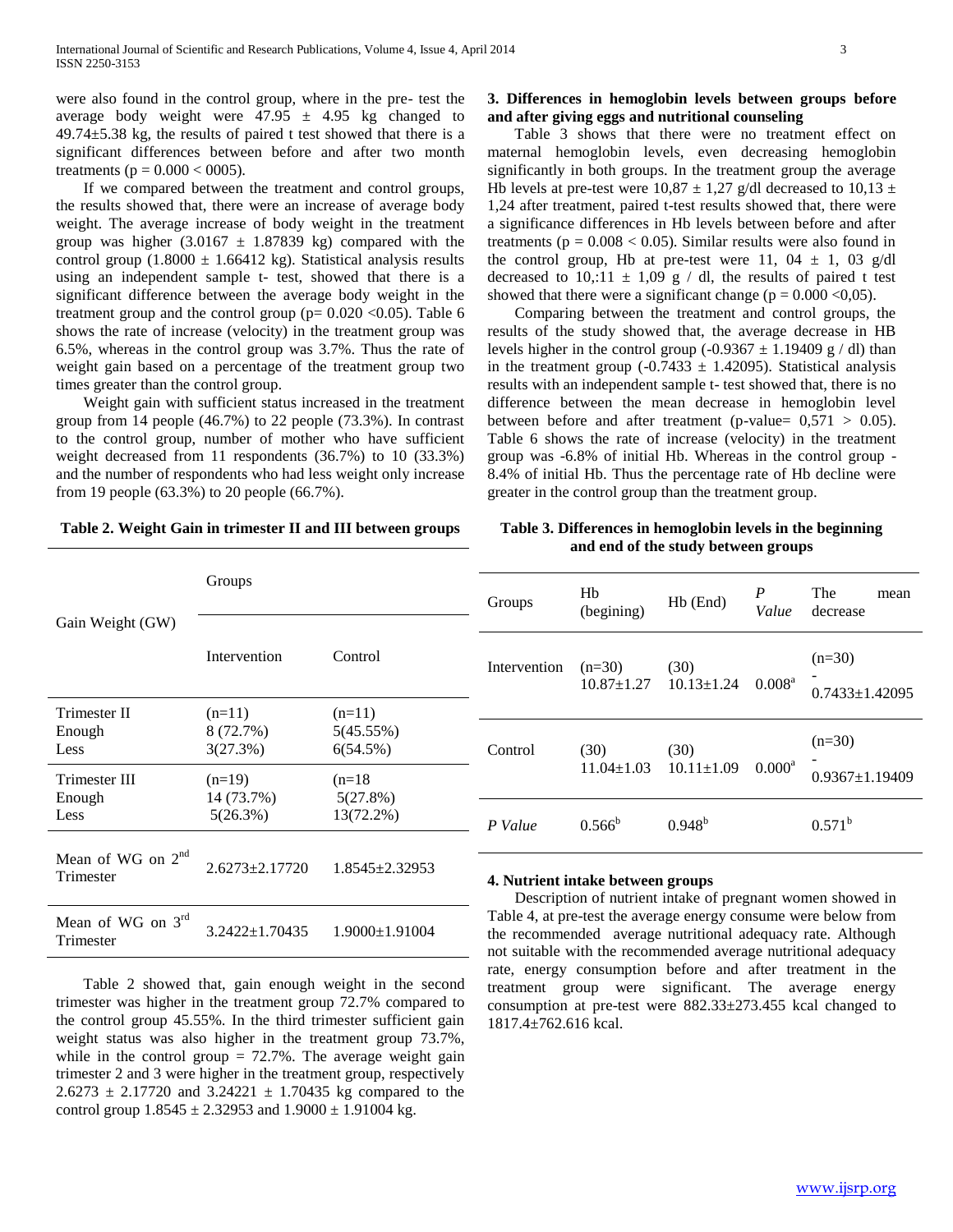were also found in the control group, where in the pre- test the average body weight were  $47.95 \pm 4.95$  kg changed to  $49.74 \pm 5.38$  kg, the results of paired t test showed that there is a significant differences between before and after two month treatments ( $p = 0.000 < 0005$ ).

 If we compared between the treatment and control groups, the results showed that, there were an increase of average body weight. The average increase of body weight in the treatment group was higher  $(3.0167 \pm 1.87839 \text{ kg})$  compared with the control group (1.8000  $\pm$  1.66412 kg). Statistical analysis results using an independent sample t- test, showed that there is a significant difference between the average body weight in the treatment group and the control group ( $p= 0.020 < 0.05$ ). Table 6 shows the rate of increase (velocity) in the treatment group was 6.5%, whereas in the control group was 3.7%. Thus the rate of weight gain based on a percentage of the treatment group two times greater than the control group.

 Weight gain with sufficient status increased in the treatment group from 14 people (46.7%) to 22 people (73.3%). In contrast to the control group, number of mother who have sufficient weight decreased from 11 respondents (36.7%) to 10 (33.3%) and the number of respondents who had less weight only increase from 19 people (63.3%) to 20 people (66.7%).

# **3. Differences in hemoglobin levels between groups before and after giving eggs and nutritional counseling**

 Table 3 shows that there were no treatment effect on maternal hemoglobin levels, even decreasing hemoglobin significantly in both groups. In the treatment group the average Hb levels at pre-test were  $10,87 \pm 1,27$  g/dl decreased to  $10,13 \pm 1$ 1,24 after treatment, paired t-test results showed that, there were a significance differences in Hb levels between before and after treatments ( $p = 0.008 < 0.05$ ). Similar results were also found in the control group, Hb at pre-test were 11,  $04 \pm 1$ ,  $03 \text{ g/dl}$ decreased to 10,:11  $\pm$  1,09 g / dl, the results of paired t test showed that there were a significant change ( $p = 0.000 \le 0.05$ ).

 Comparing between the treatment and control groups, the results of the study showed that, the average decrease in HB levels higher in the control group (-0.9367  $\pm$  1.19409 g / dl) than in the treatment group (-0.7433  $\pm$  1.42095). Statistical analysis results with an independent sample t- test showed that, there is no difference between the mean decrease in hemoglobin level between before and after treatment (p-value=  $0.571 > 0.05$ ). Table 6 shows the rate of increase (velocity) in the treatment group was -6.8% of initial Hb. Whereas in the control group - 8.4% of initial Hb. Thus the percentage rate of Hb decline were greater in the control group than the treatment group.

|  |  |  | Table 2. Weight Gain in trimester II and III between groups |  |  |  |  |
|--|--|--|-------------------------------------------------------------|--|--|--|--|
|--|--|--|-------------------------------------------------------------|--|--|--|--|

**Table 3. Differences in hemoglobin levels in the beginning and end of the study between groups**

| Groups<br>Gain Weight (GW)          |                                              | Groups                            | Hb<br>(begining) | Hb (End)                          | P<br>Value               | The<br>mean<br>decrease |                                                            |
|-------------------------------------|----------------------------------------------|-----------------------------------|------------------|-----------------------------------|--------------------------|-------------------------|------------------------------------------------------------|
|                                     | Intervention                                 | Control                           | Intervention     | $(n=30)$<br>$10.87 \pm 1.27$      | (30)<br>$10.13 \pm 1.24$ | $0.008^{\rm a}$         | $(n=30)$<br>$0.7433 \pm 1.42095$                           |
| Trimester II<br>Enough<br>Less      | $(n=11)$<br>8 (72.7%)<br>3(27.3%)            | $(n=11)$<br>5(45.55%)<br>6(54.5%) | Control          | (30)                              | (30)                     |                         | $(n=30)$                                                   |
| Trimester III<br>Enough<br>Less     | $(n=19)$<br>14 (73.7%)                       | $(n=18)$<br>5(27.8%)              |                  | $11.04 \pm 1.03$                  | $10.11 \pm 1.09$         | $0.000^{\rm a}$         | $0.9367 \pm 1.19409$                                       |
|                                     | $5(26.3\%)$                                  | 13(72.2%)                         | P Value          | $0.566^{\rm b}$                   | $0.948^{b}$              |                         | $0.571^{\rm b}$                                            |
| Mean of WG on $2^{nd}$<br>Trimester | $2.6273 \pm 2.17720$<br>$1.8545 \pm 2.32953$ |                                   |                  | 4. Nutrient intake between groups |                          |                         | Description of nutrient intake of pregnant women showed in |

| Mean of WG on $3rd$<br>Trimester | $3.2422 + 1.70435$ | $1.9000 \pm 1.91004$ |
|----------------------------------|--------------------|----------------------|
|----------------------------------|--------------------|----------------------|

 Table 2 showed that, gain enough weight in the second trimester was higher in the treatment group 72.7% compared to the control group 45.55%. In the third trimester sufficient gain weight status was also higher in the treatment group 73.7%, while in the control group  $= 72.7\%$ . The average weight gain trimester 2 and 3 were higher in the treatment group, respectively  $2.6273 \pm 2.17720$  and  $3.24221 \pm 1.70435$  kg compared to the control group  $1.8545 \pm 2.32953$  and  $1.9000 \pm 1.91004$  kg.

 Description of nutrient intake of pregnant women showed in Table 4, at pre-test the average energy consume were below from the recommended average nutritional adequacy rate. Although not suitable with the recommended average nutritional adequacy rate, energy consumption before and after treatment in the treatment group were significant. The average energy consumption at pre-test were 882.33±273.455 kcal changed to 1817.4±762.616 kcal.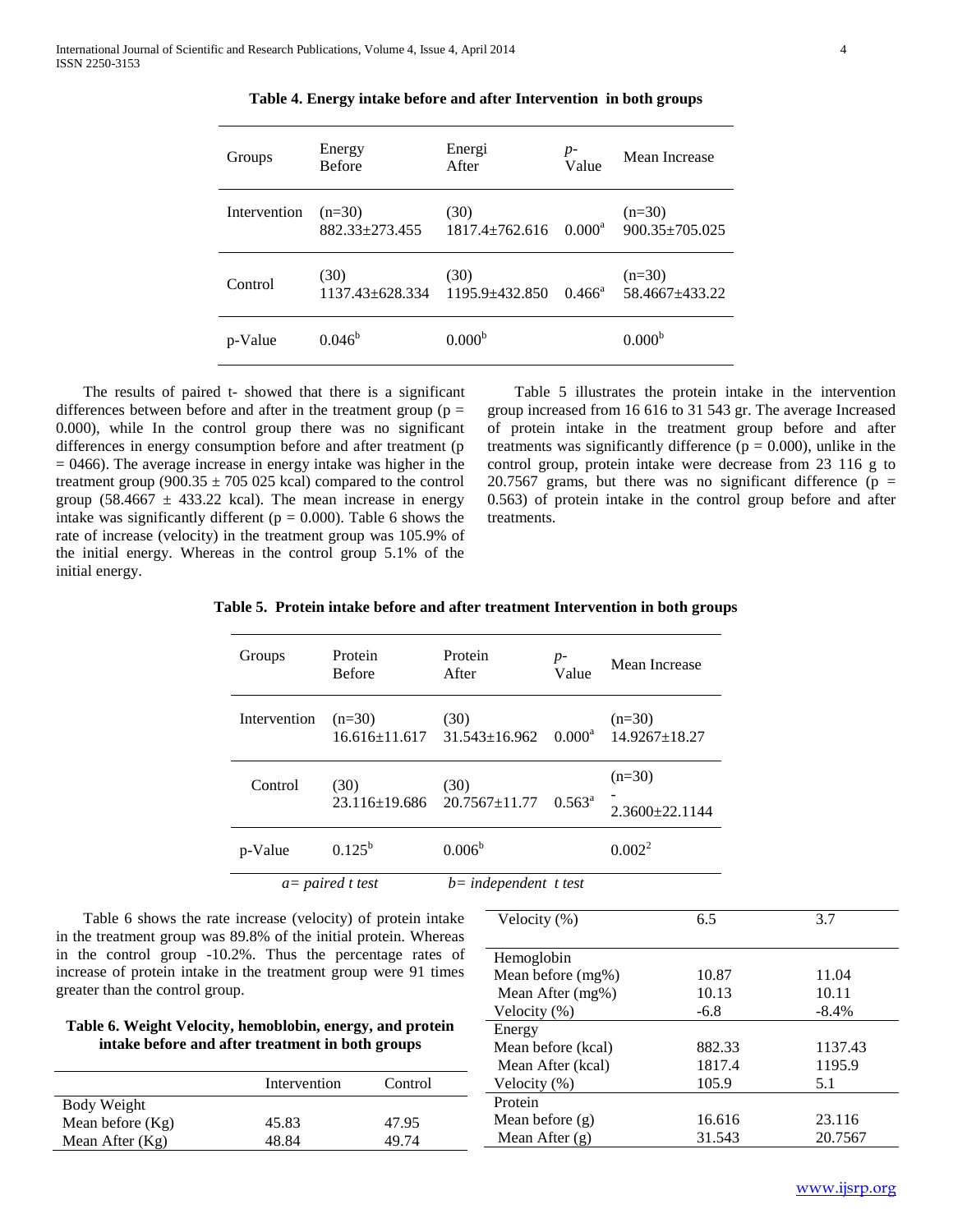| Groups       | Energy<br><b>Before</b>    | Energi<br>After            | $p-$<br>Value | Mean Increase                  |
|--------------|----------------------------|----------------------------|---------------|--------------------------------|
| Intervention | $(n=30)$<br>882.33+273.455 | (30)<br>$1817.4 + 762.616$ | $0.000^a$     | $(n=30)$<br>$900.35 + 705.025$ |
| Control      | (30)<br>1137.43±628.334    | (30)<br>1195.9+432.850     | $0.466^a$     | $(n=30)$<br>58.4667+433.22     |
| p-Value      | $0.046^{\rm b}$            | 0.000 <sup>b</sup>         |               | 0.000 <sup>b</sup>             |

**Table 4. Energy intake before and after Intervention in both groups**

 The results of paired t- showed that there is a significant differences between before and after in the treatment group ( $p =$ 0.000), while In the control group there was no significant differences in energy consumption before and after treatment (p  $= 0466$ ). The average increase in energy intake was higher in the treatment group (900.35  $\pm$  705 025 kcal) compared to the control group (58.4667  $\pm$  433.22 kcal). The mean increase in energy intake was significantly different ( $p = 0.000$ ). Table 6 shows the rate of increase (velocity) in the treatment group was 105.9% of the initial energy. Whereas in the control group 5.1% of the initial energy.

 Table 5 illustrates the protein intake in the intervention group increased from 16 616 to 31 543 gr. The average Increased of protein intake in the treatment group before and after treatments was significantly difference ( $p = 0.000$ ), unlike in the control group, protein intake were decrease from 23 116 g to 20.7567 grams, but there was no significant difference ( $p =$ 0.563) of protein intake in the control group before and after treatments.

| Table 5. Protein intake before and after treatment Intervention in both groups |  |
|--------------------------------------------------------------------------------|--|
|--------------------------------------------------------------------------------|--|

| Groups       | Protein<br><b>Before</b> | Protein<br>After                                                | p-<br>Value     | Mean Increase                    |
|--------------|--------------------------|-----------------------------------------------------------------|-----------------|----------------------------------|
| Intervention | $(n=30)$                 | (30)<br>$16.616 \pm 11.617$ $31.543 \pm 16.962$ $0.000^{\circ}$ |                 | $(n=30)$<br>$14.9267 \pm 18.27$  |
| Control      | (30)                     | (30)<br>23.116±19.686 20.7567±11.77                             | $0.563^{\rm a}$ | $(n=30)$<br>$2.3600 \pm 22.1144$ |
| p-Value      | $0.125^{\rm b}$          | $0.006^{\rm b}$                                                 |                 | $0.002^2$                        |
|              | $a=paired t test$        | $b$ = independent t test                                        |                 |                                  |

 Table 6 shows the rate increase (velocity) of protein intake in the treatment group was 89.8% of the initial protein. Whereas in the control group -10.2%. Thus the percentage rates of increase of protein intake in the treatment group were 91 times greater than the control group.

**Table 6. Weight Velocity, hemoblobin, energy, and protein intake before and after treatment in both groups**

|                    | Intervention | Control |
|--------------------|--------------|---------|
| Body Weight        |              |         |
| Mean before $(Kg)$ | 45.83        | 47.95   |
| Mean After $(Kg)$  | 48 84        | 49 74   |

| Velocity $(\%)$    | 6.5    | 3.7     |
|--------------------|--------|---------|
|                    |        |         |
| Hemoglobin         |        |         |
| Mean before (mg%)  | 10.87  | 11.04   |
| Mean After (mg%)   | 10.13  | 10.11   |
| Velocity $(\%)$    | $-6.8$ | $-8.4%$ |
| Energy             |        |         |
| Mean before (kcal) | 882.33 | 1137.43 |
| Mean After (kcal)  | 1817.4 | 1195.9  |
| Velocity $(\%)$    | 105.9  | 5.1     |
| Protein            |        |         |
| Mean before $(g)$  | 16.616 | 23.116  |
| Mean After $(g)$   | 31.543 | 20.7567 |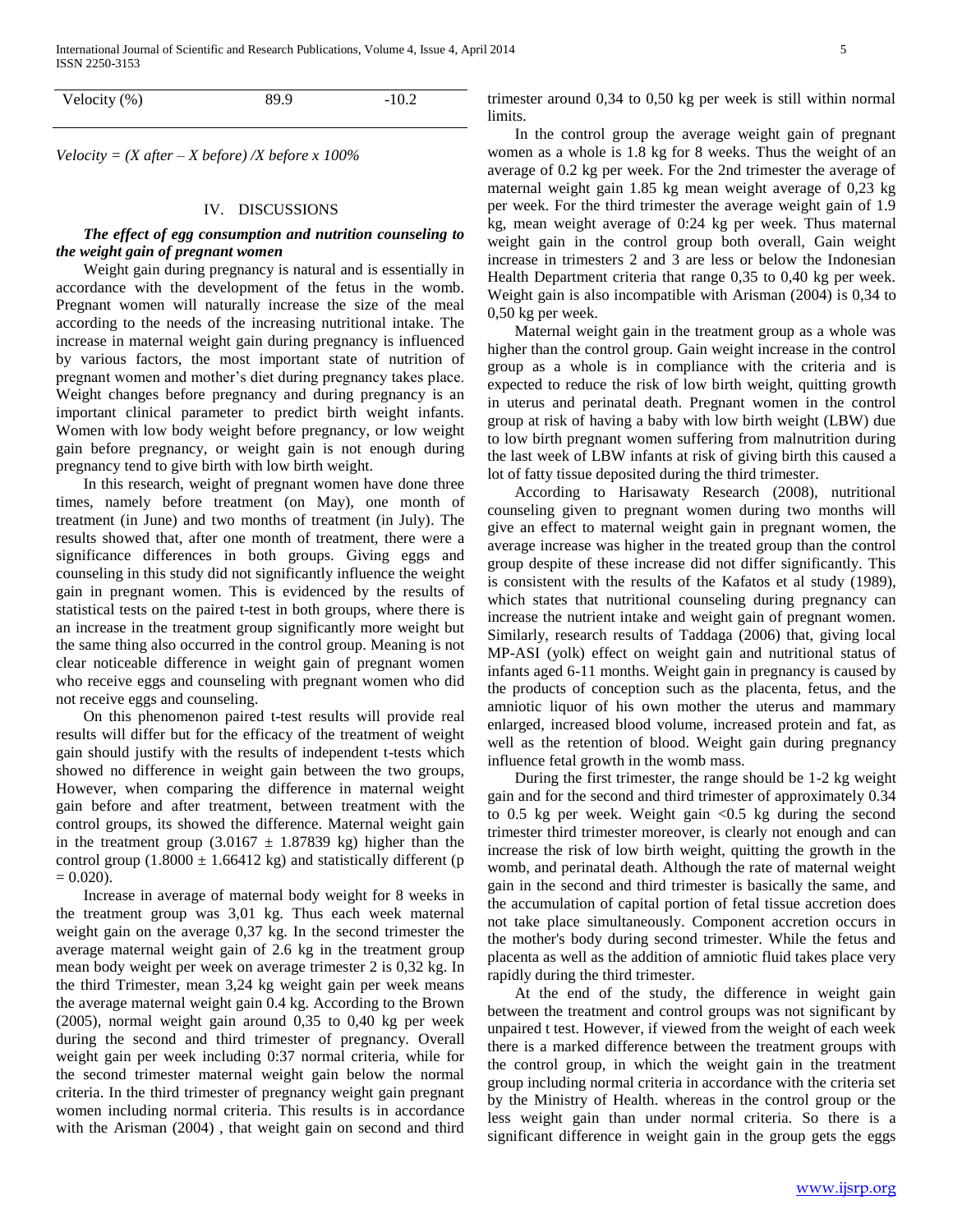| Velocity $(\%)$ | 89.9 | $-10.2$ |
|-----------------|------|---------|
|                 |      |         |

*Velocity* =  $(X \text{ after } -X \text{ before}) / X \text{ before } x \text{ 100\%}$ 

# IV. DISCUSSIONS

# *The effect of egg consumption and nutrition counseling to the weight gain of pregnant women*

 Weight gain during pregnancy is natural and is essentially in accordance with the development of the fetus in the womb. Pregnant women will naturally increase the size of the meal according to the needs of the increasing nutritional intake. The increase in maternal weight gain during pregnancy is influenced by various factors, the most important state of nutrition of pregnant women and mother's diet during pregnancy takes place. Weight changes before pregnancy and during pregnancy is an important clinical parameter to predict birth weight infants. Women with low body weight before pregnancy, or low weight gain before pregnancy, or weight gain is not enough during pregnancy tend to give birth with low birth weight.

 In this research, weight of pregnant women have done three times, namely before treatment (on May), one month of treatment (in June) and two months of treatment (in July). The results showed that, after one month of treatment, there were a significance differences in both groups. Giving eggs and counseling in this study did not significantly influence the weight gain in pregnant women. This is evidenced by the results of statistical tests on the paired t-test in both groups, where there is an increase in the treatment group significantly more weight but the same thing also occurred in the control group. Meaning is not clear noticeable difference in weight gain of pregnant women who receive eggs and counseling with pregnant women who did not receive eggs and counseling.

 On this phenomenon paired t-test results will provide real results will differ but for the efficacy of the treatment of weight gain should justify with the results of independent t-tests which showed no difference in weight gain between the two groups, However, when comparing the difference in maternal weight gain before and after treatment, between treatment with the control groups, its showed the difference. Maternal weight gain in the treatment group  $(3.0167 \pm 1.87839 \text{ kg})$  higher than the control group (1.8000  $\pm$  1.66412 kg) and statistically different (p  $= 0.020$ ).

 Increase in average of maternal body weight for 8 weeks in the treatment group was 3,01 kg. Thus each week maternal weight gain on the average 0,37 kg. In the second trimester the average maternal weight gain of 2.6 kg in the treatment group mean body weight per week on average trimester 2 is 0,32 kg. In the third Trimester, mean 3,24 kg weight gain per week means the average maternal weight gain 0.4 kg. According to the Brown (2005), normal weight gain around 0,35 to 0,40 kg per week during the second and third trimester of pregnancy. Overall weight gain per week including 0:37 normal criteria, while for the second trimester maternal weight gain below the normal criteria. In the third trimester of pregnancy weight gain pregnant women including normal criteria. This results is in accordance with the Arisman (2004) , that weight gain on second and third

trimester around 0,34 to 0,50 kg per week is still within normal limits.

 In the control group the average weight gain of pregnant women as a whole is 1.8 kg for 8 weeks. Thus the weight of an average of 0.2 kg per week. For the 2nd trimester the average of maternal weight gain 1.85 kg mean weight average of 0,23 kg per week. For the third trimester the average weight gain of 1.9 kg, mean weight average of 0:24 kg per week. Thus maternal weight gain in the control group both overall, Gain weight increase in trimesters 2 and 3 are less or below the Indonesian Health Department criteria that range 0,35 to 0,40 kg per week. Weight gain is also incompatible with Arisman (2004) is 0,34 to 0,50 kg per week.

 Maternal weight gain in the treatment group as a whole was higher than the control group. Gain weight increase in the control group as a whole is in compliance with the criteria and is expected to reduce the risk of low birth weight, quitting growth in uterus and perinatal death. Pregnant women in the control group at risk of having a baby with low birth weight (LBW) due to low birth pregnant women suffering from malnutrition during the last week of LBW infants at risk of giving birth this caused a lot of fatty tissue deposited during the third trimester.

 According to Harisawaty Research (2008), nutritional counseling given to pregnant women during two months will give an effect to maternal weight gain in pregnant women, the average increase was higher in the treated group than the control group despite of these increase did not differ significantly. This is consistent with the results of the Kafatos et al study (1989), which states that nutritional counseling during pregnancy can increase the nutrient intake and weight gain of pregnant women. Similarly, research results of Taddaga (2006) that, giving local MP-ASI (yolk) effect on weight gain and nutritional status of infants aged 6-11 months. Weight gain in pregnancy is caused by the products of conception such as the placenta, fetus, and the amniotic liquor of his own mother the uterus and mammary enlarged, increased blood volume, increased protein and fat, as well as the retention of blood. Weight gain during pregnancy influence fetal growth in the womb mass.

 During the first trimester, the range should be 1-2 kg weight gain and for the second and third trimester of approximately 0.34 to 0.5 kg per week. Weight gain <0.5 kg during the second trimester third trimester moreover, is clearly not enough and can increase the risk of low birth weight, quitting the growth in the womb, and perinatal death. Although the rate of maternal weight gain in the second and third trimester is basically the same, and the accumulation of capital portion of fetal tissue accretion does not take place simultaneously. Component accretion occurs in the mother's body during second trimester. While the fetus and placenta as well as the addition of amniotic fluid takes place very rapidly during the third trimester.

 At the end of the study, the difference in weight gain between the treatment and control groups was not significant by unpaired t test. However, if viewed from the weight of each week there is a marked difference between the treatment groups with the control group, in which the weight gain in the treatment group including normal criteria in accordance with the criteria set by the Ministry of Health. whereas in the control group or the less weight gain than under normal criteria. So there is a significant difference in weight gain in the group gets the eggs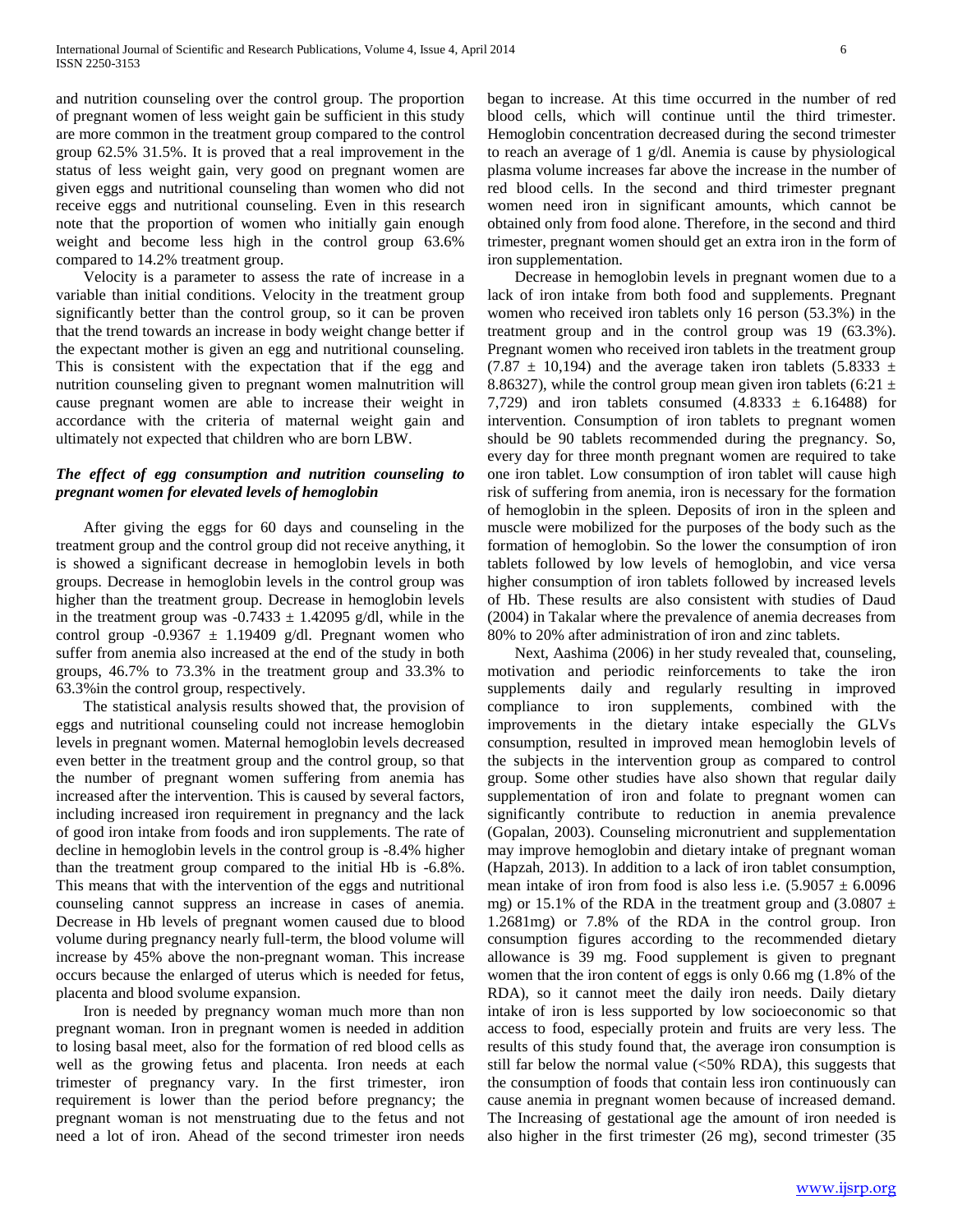and nutrition counseling over the control group. The proportion of pregnant women of less weight gain be sufficient in this study are more common in the treatment group compared to the control group 62.5% 31.5%. It is proved that a real improvement in the status of less weight gain, very good on pregnant women are given eggs and nutritional counseling than women who did not receive eggs and nutritional counseling. Even in this research note that the proportion of women who initially gain enough weight and become less high in the control group 63.6% compared to 14.2% treatment group.

 Velocity is a parameter to assess the rate of increase in a variable than initial conditions. Velocity in the treatment group significantly better than the control group, so it can be proven that the trend towards an increase in body weight change better if the expectant mother is given an egg and nutritional counseling. This is consistent with the expectation that if the egg and nutrition counseling given to pregnant women malnutrition will cause pregnant women are able to increase their weight in accordance with the criteria of maternal weight gain and ultimately not expected that children who are born LBW.

# *The effect of egg consumption and nutrition counseling to pregnant women for elevated levels of hemoglobin*

 After giving the eggs for 60 days and counseling in the treatment group and the control group did not receive anything, it is showed a significant decrease in hemoglobin levels in both groups. Decrease in hemoglobin levels in the control group was higher than the treatment group. Decrease in hemoglobin levels in the treatment group was  $-0.7433 \pm 1.42095$  g/dl, while in the control group  $-0.9367 \pm 1.19409$  g/dl. Pregnant women who suffer from anemia also increased at the end of the study in both groups, 46.7% to 73.3% in the treatment group and 33.3% to 63.3%in the control group, respectively.

 The statistical analysis results showed that, the provision of eggs and nutritional counseling could not increase hemoglobin levels in pregnant women. Maternal hemoglobin levels decreased even better in the treatment group and the control group, so that the number of pregnant women suffering from anemia has increased after the intervention. This is caused by several factors, including increased iron requirement in pregnancy and the lack of good iron intake from foods and iron supplements. The rate of decline in hemoglobin levels in the control group is -8.4% higher than the treatment group compared to the initial Hb is -6.8%. This means that with the intervention of the eggs and nutritional counseling cannot suppress an increase in cases of anemia. Decrease in Hb levels of pregnant women caused due to blood volume during pregnancy nearly full-term, the blood volume will increase by 45% above the non-pregnant woman. This increase occurs because the enlarged of uterus which is needed for fetus, placenta and blood svolume expansion.

 Iron is needed by pregnancy woman much more than non pregnant woman. Iron in pregnant women is needed in addition to losing basal meet, also for the formation of red blood cells as well as the growing fetus and placenta. Iron needs at each trimester of pregnancy vary. In the first trimester, iron requirement is lower than the period before pregnancy; the pregnant woman is not menstruating due to the fetus and not need a lot of iron. Ahead of the second trimester iron needs

began to increase. At this time occurred in the number of red blood cells, which will continue until the third trimester. Hemoglobin concentration decreased during the second trimester to reach an average of 1 g/dl. Anemia is cause by physiological plasma volume increases far above the increase in the number of red blood cells. In the second and third trimester pregnant women need iron in significant amounts, which cannot be obtained only from food alone. Therefore, in the second and third trimester, pregnant women should get an extra iron in the form of iron supplementation.

 Decrease in hemoglobin levels in pregnant women due to a lack of iron intake from both food and supplements. Pregnant women who received iron tablets only 16 person (53.3%) in the treatment group and in the control group was 19 (63.3%). Pregnant women who received iron tablets in the treatment group (7.87  $\pm$  10,194) and the average taken iron tablets (5.8333  $\pm$ 8.86327), while the control group mean given iron tablets (6:21  $\pm$ 7,729) and iron tablets consumed  $(4.8333 \pm 6.16488)$  for intervention. Consumption of iron tablets to pregnant women should be 90 tablets recommended during the pregnancy. So, every day for three month pregnant women are required to take one iron tablet. Low consumption of iron tablet will cause high risk of suffering from anemia, iron is necessary for the formation of hemoglobin in the spleen. Deposits of iron in the spleen and muscle were mobilized for the purposes of the body such as the formation of hemoglobin. So the lower the consumption of iron tablets followed by low levels of hemoglobin, and vice versa higher consumption of iron tablets followed by increased levels of Hb. These results are also consistent with studies of Daud (2004) in Takalar where the prevalence of anemia decreases from 80% to 20% after administration of iron and zinc tablets.

 Next, Aashima (2006) in her study revealed that, counseling, motivation and periodic reinforcements to take the iron supplements daily and regularly resulting in improved compliance to iron supplements, combined with the improvements in the dietary intake especially the GLVs consumption, resulted in improved mean hemoglobin levels of the subjects in the intervention group as compared to control group. Some other studies have also shown that regular daily supplementation of iron and folate to pregnant women can significantly contribute to reduction in anemia prevalence (Gopalan, 2003). Counseling micronutrient and supplementation may improve hemoglobin and dietary intake of pregnant woman (Hapzah, 2013). In addition to a lack of iron tablet consumption, mean intake of iron from food is also less i.e.  $(5.9057 \pm 6.0096$ mg) or 15.1% of the RDA in the treatment group and  $(3.0807 \pm$ 1.2681mg) or 7.8% of the RDA in the control group. Iron consumption figures according to the recommended dietary allowance is 39 mg. Food supplement is given to pregnant women that the iron content of eggs is only 0.66 mg (1.8% of the RDA), so it cannot meet the daily iron needs. Daily dietary intake of iron is less supported by low socioeconomic so that access to food, especially protein and fruits are very less. The results of this study found that, the average iron consumption is still far below the normal value (<50% RDA), this suggests that the consumption of foods that contain less iron continuously can cause anemia in pregnant women because of increased demand. The Increasing of gestational age the amount of iron needed is also higher in the first trimester (26 mg), second trimester (35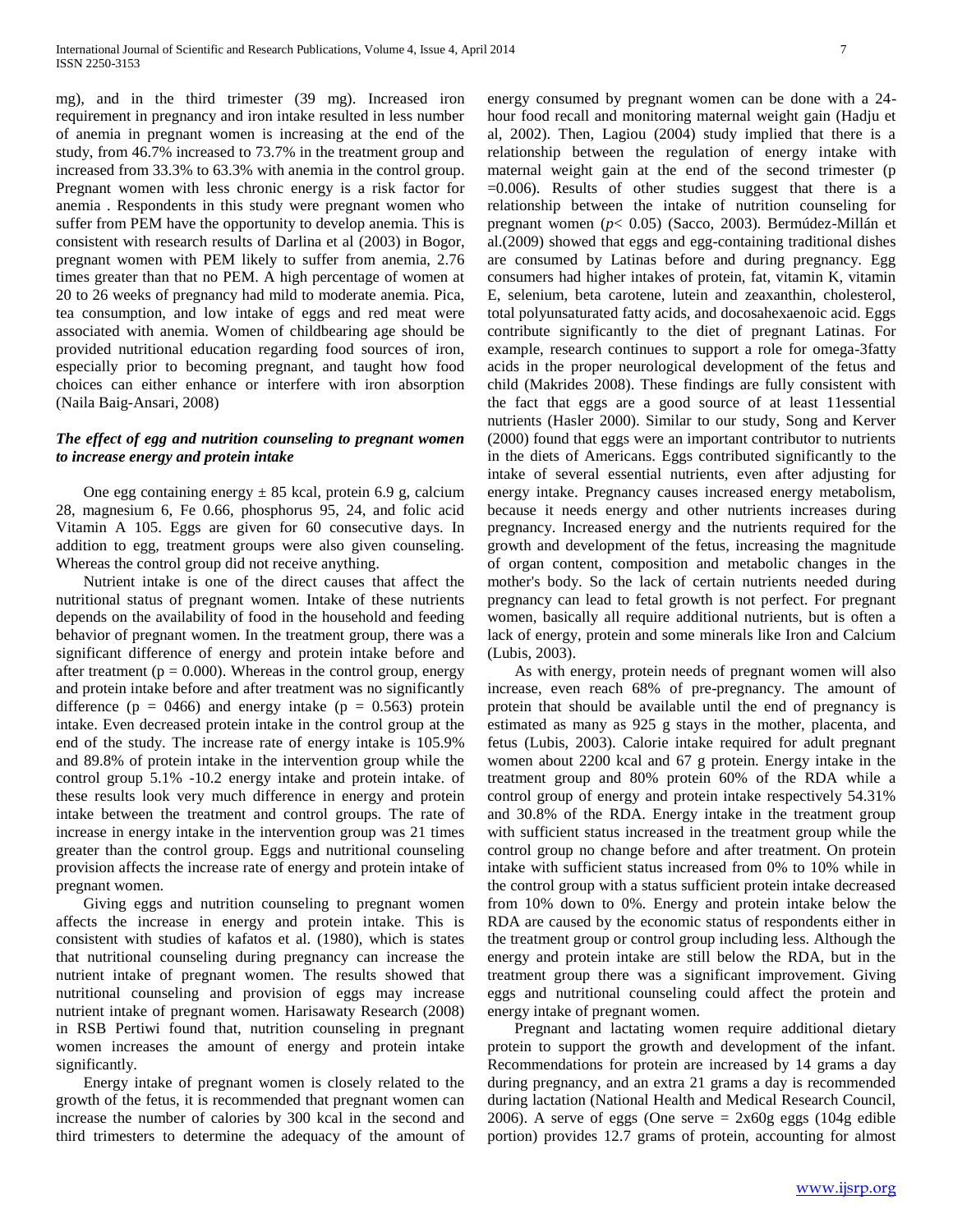mg), and in the third trimester (39 mg). Increased iron requirement in pregnancy and iron intake resulted in less number of anemia in pregnant women is increasing at the end of the study, from 46.7% increased to 73.7% in the treatment group and increased from 33.3% to 63.3% with anemia in the control group. Pregnant women with less chronic energy is a risk factor for anemia . Respondents in this study were pregnant women who suffer from PEM have the opportunity to develop anemia. This is consistent with research results of Darlina et al (2003) in Bogor, pregnant women with PEM likely to suffer from anemia, 2.76 times greater than that no PEM. A high percentage of women at 20 to 26 weeks of pregnancy had mild to moderate anemia. Pica, tea consumption, and low intake of eggs and red meat were associated with anemia. Women of childbearing age should be provided nutritional education regarding food sources of iron, especially prior to becoming pregnant, and taught how food choices can either enhance or interfere with iron absorption (Naila Baig-Ansari, 2008)

# *The effect of egg and nutrition counseling to pregnant women to increase energy and protein intake*

One egg containing energy  $\pm 85$  kcal, protein 6.9 g, calcium 28, magnesium 6, Fe 0.66, phosphorus 95, 24, and folic acid Vitamin A 105. Eggs are given for 60 consecutive days. In addition to egg, treatment groups were also given counseling. Whereas the control group did not receive anything.

 Nutrient intake is one of the direct causes that affect the nutritional status of pregnant women. Intake of these nutrients depends on the availability of food in the household and feeding behavior of pregnant women. In the treatment group, there was a significant difference of energy and protein intake before and after treatment ( $p = 0.000$ ). Whereas in the control group, energy and protein intake before and after treatment was no significantly difference ( $p = 0466$ ) and energy intake ( $p = 0.563$ ) protein intake. Even decreased protein intake in the control group at the end of the study. The increase rate of energy intake is 105.9% and 89.8% of protein intake in the intervention group while the control group 5.1% -10.2 energy intake and protein intake. of these results look very much difference in energy and protein intake between the treatment and control groups. The rate of increase in energy intake in the intervention group was 21 times greater than the control group. Eggs and nutritional counseling provision affects the increase rate of energy and protein intake of pregnant women.

 Giving eggs and nutrition counseling to pregnant women affects the increase in energy and protein intake. This is consistent with studies of kafatos et al. (1980), which is states that nutritional counseling during pregnancy can increase the nutrient intake of pregnant women. The results showed that nutritional counseling and provision of eggs may increase nutrient intake of pregnant women. Harisawaty Research (2008) in RSB Pertiwi found that, nutrition counseling in pregnant women increases the amount of energy and protein intake significantly.

 Energy intake of pregnant women is closely related to the growth of the fetus, it is recommended that pregnant women can increase the number of calories by 300 kcal in the second and third trimesters to determine the adequacy of the amount of energy consumed by pregnant women can be done with a 24 hour food recall and monitoring maternal weight gain (Hadju et al, 2002). Then, Lagiou (2004) study implied that there is a relationship between the regulation of energy intake with maternal weight gain at the end of the second trimester (p  $=0.006$ ). Results of other studies suggest that there is a relationship between the intake of nutrition counseling for pregnant women (*p*< 0.05) (Sacco, 2003). Bermúdez-Millán et al.(2009) showed that eggs and egg-containing traditional dishes are consumed by Latinas before and during pregnancy. Egg consumers had higher intakes of protein, fat, vitamin K, vitamin E, selenium, beta carotene, lutein and zeaxanthin, cholesterol, total polyunsaturated fatty acids, and docosahexaenoic acid. Eggs contribute significantly to the diet of pregnant Latinas. For example, research continues to support a role for omega-3fatty acids in the proper neurological development of the fetus and child (Makrides 2008). These findings are fully consistent with the fact that eggs are a good source of at least 11essential nutrients (Hasler 2000). Similar to our study, Song and Kerver (2000) found that eggs were an important contributor to nutrients in the diets of Americans. Eggs contributed significantly to the intake of several essential nutrients, even after adjusting for energy intake. Pregnancy causes increased energy metabolism, because it needs energy and other nutrients increases during pregnancy. Increased energy and the nutrients required for the growth and development of the fetus, increasing the magnitude of organ content, composition and metabolic changes in the mother's body. So the lack of certain nutrients needed during pregnancy can lead to fetal growth is not perfect. For pregnant women, basically all require additional nutrients, but is often a lack of energy, protein and some minerals like Iron and Calcium (Lubis, 2003).

 As with energy, protein needs of pregnant women will also increase, even reach 68% of pre-pregnancy. The amount of protein that should be available until the end of pregnancy is estimated as many as 925 g stays in the mother, placenta, and fetus (Lubis, 2003). Calorie intake required for adult pregnant women about 2200 kcal and 67 g protein. Energy intake in the treatment group and 80% protein 60% of the RDA while a control group of energy and protein intake respectively 54.31% and 30.8% of the RDA. Energy intake in the treatment group with sufficient status increased in the treatment group while the control group no change before and after treatment. On protein intake with sufficient status increased from 0% to 10% while in the control group with a status sufficient protein intake decreased from 10% down to 0%. Energy and protein intake below the RDA are caused by the economic status of respondents either in the treatment group or control group including less. Although the energy and protein intake are still below the RDA, but in the treatment group there was a significant improvement. Giving eggs and nutritional counseling could affect the protein and energy intake of pregnant women.

 Pregnant and lactating women require additional dietary protein to support the growth and development of the infant. Recommendations for protein are increased by 14 grams a day during pregnancy, and an extra 21 grams a day is recommended during lactation (National Health and Medical Research Council, 2006). A serve of eggs (One serve  $= 2x60g$  eggs (104g edible portion) provides 12.7 grams of protein, accounting for almost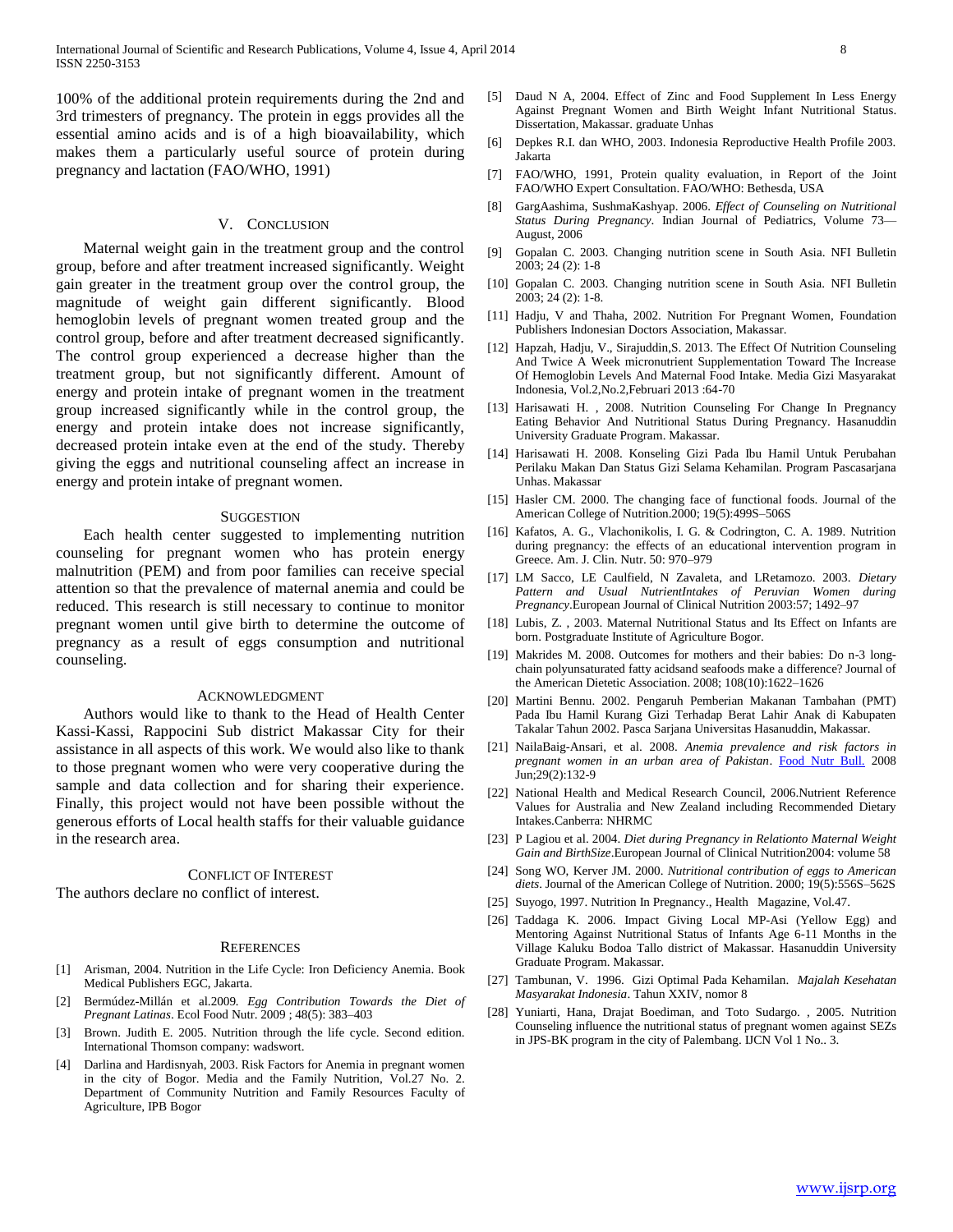100% of the additional protein requirements during the 2nd and 3rd trimesters of pregnancy. The protein in eggs provides all the essential amino acids and is of a high bioavailability, which makes them a particularly useful source of protein during pregnancy and lactation (FAO/WHO, 1991)

## V. CONCLUSION

 Maternal weight gain in the treatment group and the control group, before and after treatment increased significantly. Weight gain greater in the treatment group over the control group, the magnitude of weight gain different significantly. Blood hemoglobin levels of pregnant women treated group and the control group, before and after treatment decreased significantly. The control group experienced a decrease higher than the treatment group, but not significantly different. Amount of energy and protein intake of pregnant women in the treatment group increased significantly while in the control group, the energy and protein intake does not increase significantly, decreased protein intake even at the end of the study. Thereby giving the eggs and nutritional counseling affect an increase in energy and protein intake of pregnant women.

#### **SUGGESTION**

 Each health center suggested to implementing nutrition counseling for pregnant women who has protein energy malnutrition (PEM) and from poor families can receive special attention so that the prevalence of maternal anemia and could be reduced. This research is still necessary to continue to monitor pregnant women until give birth to determine the outcome of pregnancy as a result of eggs consumption and nutritional counseling.

#### ACKNOWLEDGMENT

 Authors would like to thank to the Head of Health Center Kassi-Kassi, Rappocini Sub district Makassar City for their assistance in all aspects of this work. We would also like to thank to those pregnant women who were very cooperative during the sample and data collection and for sharing their experience. Finally, this project would not have been possible without the generous efforts of Local health staffs for their valuable guidance in the research area.

# CONFLICT OF INTEREST

The authors declare no conflict of interest.

#### **REFERENCES**

- [1] Arisman, 2004. Nutrition in the Life Cycle: Iron Deficiency Anemia. Book Medical Publishers EGC, Jakarta.
- [2] Bermúdez-Millán et al.2009*. Egg Contribution Towards the Diet of Pregnant Latinas*. Ecol Food Nutr. 2009 ; 48(5): 383–403
- [3] Brown. Judith E. 2005. Nutrition through the life cycle. Second edition. International Thomson company: wadswort.
- [4] Darlina and Hardisnyah, 2003. Risk Factors for Anemia in pregnant women in the city of Bogor. Media and the Family Nutrition, Vol.27 No. 2. Department of Community Nutrition and Family Resources Faculty of Agriculture, IPB Bogor
- [5] Daud N A, 2004. Effect of Zinc and Food Supplement In Less Energy Against Pregnant Women and Birth Weight Infant Nutritional Status. Dissertation, Makassar. graduate Unhas
- [6] Depkes R.I. dan WHO, 2003. Indonesia Reproductive Health Profile 2003. Jakarta
- [7] FAO/WHO, 1991, Protein quality evaluation, in Report of the Joint FAO/WHO Expert Consultation. FAO/WHO: Bethesda, USA
- [8] GargAashima, SushmaKashyap. 2006. *Effect of Counseling on Nutritional Status During Pregnancy*. Indian Journal of Pediatrics, Volume 73— August, 2006
- [9] Gopalan C. 2003. Changing nutrition scene in South Asia. NFI Bulletin 2003; 24 (2): 1-8
- [10] Gopalan C. 2003. Changing nutrition scene in South Asia. NFI Bulletin 2003; 24 (2): 1-8.
- [11] Hadju, V and Thaha, 2002. Nutrition For Pregnant Women, Foundation Publishers Indonesian Doctors Association, Makassar.
- [12] Hapzah, Hadju, V., Sirajuddin,S. 2013. The Effect Of Nutrition Counseling And Twice A Week micronutrient Supplementation Toward The Increase Of Hemoglobin Levels And Maternal Food Intake. Media Gizi Masyarakat Indonesia, Vol.2,No.2,Februari 2013 :64-70
- [13] Harisawati H., 2008. Nutrition Counseling For Change In Pregnancy Eating Behavior And Nutritional Status During Pregnancy. Hasanuddin University Graduate Program. Makassar.
- [14] Harisawati H. 2008. Konseling Gizi Pada Ibu Hamil Untuk Perubahan Perilaku Makan Dan Status Gizi Selama Kehamilan. Program Pascasarjana Unhas. Makassar
- [15] Hasler CM. 2000. The changing face of functional foods. Journal of the American College of Nutrition.2000; 19(5):499S–506S
- [16] Kafatos, A. G., Vlachonikolis, I. G. & Codrington, C. A. 1989. Nutrition during pregnancy: the effects of an educational intervention program in Greece. Am. J. Clin. Nutr. 50: 970–979
- [17] LM Sacco, LE Caulfield, N Zavaleta, and LRetamozo. 2003. *Dietary Pattern and Usual NutrientIntakes of Peruvian Women during Pregnancy*.European Journal of Clinical Nutrition 2003:57; 1492–97
- [18] Lubis, Z., 2003. Maternal Nutritional Status and Its Effect on Infants are born. Postgraduate Institute of Agriculture Bogor.
- [19] Makrides M. 2008. Outcomes for mothers and their babies: Do n-3 longchain polyunsaturated fatty acidsand seafoods make a difference? Journal of the American Dietetic Association. 2008; 108(10):1622–1626
- [20] Martini Bennu. 2002. Pengaruh Pemberian Makanan Tambahan (PMT) Pada Ibu Hamil Kurang Gizi Terhadap Berat Lahir Anak di Kabupaten Takalar Tahun 2002. Pasca Sarjana Universitas Hasanuddin, Makassar.
- [21] NailaBaig-Ansari, et al. 2008. *Anemia prevalence and risk factors in pregnant women in an urban area of Pakistan*. [Food Nutr Bull.](http://www.ncbi.nlm.nih.gov/pubmed/18693477) 2008 Jun;29(2):132-9
- [22] National Health and Medical Research Council, 2006.Nutrient Reference Values for Australia and New Zealand including Recommended Dietary Intakes.Canberra: NHRMC
- [23] P Lagiou et al. 2004. *Diet during Pregnancy in Relationto Maternal Weight Gain and BirthSize*.European Journal of Clinical Nutrition2004: volume 58
- [24] Song WO, Kerver JM. 2000. *Nutritional contribution of eggs to American diets*. Journal of the American College of Nutrition. 2000; 19(5):556S–562S
- [25] Suyogo, 1997. Nutrition In Pregnancy., Health Magazine, Vol.47.
- [26] Taddaga K. 2006. Impact Giving Local MP-Asi (Yellow Egg) and Mentoring Against Nutritional Status of Infants Age 6-11 Months in the Village Kaluku Bodoa Tallo district of Makassar. Hasanuddin University Graduate Program. Makassar.
- [27] Tambunan, V. 1996. Gizi Optimal Pada Kehamilan. *Majalah Kesehatan Masyarakat Indonesia*. Tahun XXIV, nomor 8
- [28] Yuniarti, Hana, Drajat Boediman, and Toto Sudargo. , 2005. Nutrition Counseling influence the nutritional status of pregnant women against SEZs in JPS-BK program in the city of Palembang. IJCN Vol 1 No.. 3.